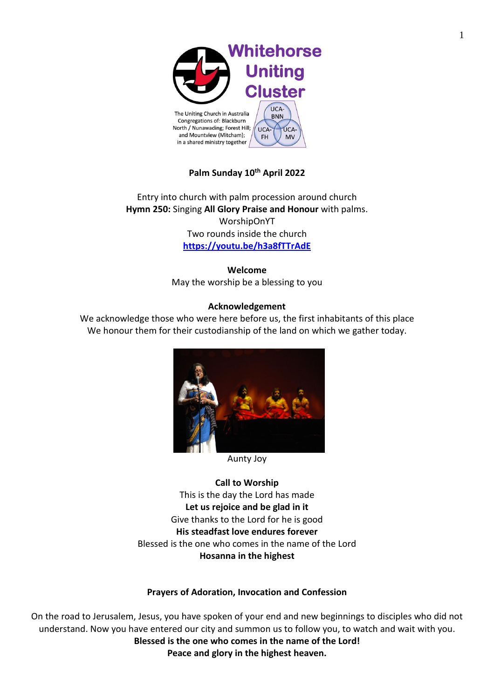

# **Palm Sunday 10th April 2022**

Entry into church with palm procession around church **Hymn 250:** Singing **All Glory Praise and Honour** with palms. WorshipOnYT Two rounds inside the church **<https://youtu.be/h3a8fTTrAdE>**

> **Welcome** May the worship be a blessing to you

#### **Acknowledgement**

We acknowledge those who were here before us, the first inhabitants of this place We honour them for their custodianship of the land on which we gather today.



Aunty Joy

**Call to Worship** This is the day the Lord has made **Let us rejoice and be glad in it** Give thanks to the Lord for he is good **His steadfast love endures forever** Blessed is the one who comes in the name of the Lord **Hosanna in the highest**

#### **Prayers of Adoration, Invocation and Confession**

On the road to Jerusalem, Jesus, you have spoken of your end and new beginnings to disciples who did not understand. Now you have entered our city and summon us to follow you, to watch and wait with you. **Blessed is the one who comes in the name of the Lord! Peace and glory in the highest heaven.**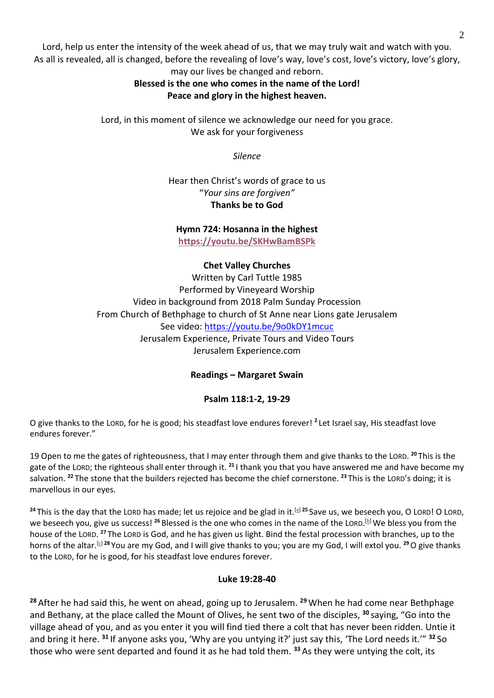Lord, help us enter the intensity of the week ahead of us, that we may truly wait and watch with you. As all is revealed, all is changed, before the revealing of love's way, love's cost, love's victory, love's glory, may our lives be changed and reborn.

# **Blessed is the one who comes in the name of the Lord! Peace and glory in the highest heaven.**

Lord, in this moment of silence we acknowledge our need for you grace. We ask for your forgiveness

*Silence*

Hear then Christ's words of grace to us "*Your sins are forgiven"* **Thanks be to God**

**Hymn 724: Hosanna in the highest <https://youtu.be/SKHwBamBSPk>**

#### **Chet Valley Churches**

Written by Carl Tuttle 1985 Performed by Vineyeard Worship Video in background from 2018 Palm Sunday Procession From Church of Bethphage to church of St Anne near Lions gate Jerusalem See video:<https://youtu.be/9o0kDY1mcuc> Jerusalem Experience, Private Tours and Video Tours Jerusalem Experience.com

**Readings – Margaret Swain**

#### **Psalm 118:1-2, 19-29**

O give thanks to the LORD, for he is good; his steadfast love endures forever! **<sup>2</sup>** Let Israel say, His steadfast love endures forever."

19 Open to me the gates of righteousness, that I may enter through them and give thanks to the LORD. **<sup>20</sup>** This is the gate of the LORD; the righteous shall enter through it. **<sup>21</sup>** I thank you that you have answered me and have become my salvation. **<sup>22</sup>** The stone that the builders rejected has become the chief cornerstone. **<sup>23</sup>** This is the LORD's doing; it is marvellous in our eyes.

<sup>24</sup> This is the day that the LORD has made; let us rejoice and be glad in it.<sup>[\[a\]](https://www.biblegateway.com/passage/?search=psalm+118%3A19-29&version=NRSV#fen-NRSV-15894a) 25</sup> Save us, we beseech you, O LORD! O LORD, we beseech you, give us success! <sup>26</sup> Blessed is the one who comes in the name of the LORD.<sup>[<u>b</u>]</sup> We bless you from the house of the LORD. <sup>27</sup> The LORD is God, and he has given us light. Bind the festal procession with branches, up to the horns of the altar.<sup>[\[c\]](https://www.biblegateway.com/passage/?search=psalm+118%3A19-29&version=NRSV#fen-NRSV-15897c) 28</sup> You are my God, and I will give thanks to you; you are my God, I will extol you. <sup>29</sup> O give thanks to the LORD, for he is good, for his steadfast love endures forever.

#### **Luke 19:28-40**

**<sup>28</sup>** After he had said this, he went on ahead, going up to Jerusalem. **<sup>29</sup>** When he had come near Bethphage and Bethany, at the place called the Mount of Olives, he sent two of the disciples, **<sup>30</sup>** saying, "Go into the village ahead of you, and as you enter it you will find tied there a colt that has never been ridden. Untie it and bring it here. **<sup>31</sup>** If anyone asks you, 'Why are you untying it?' just say this, 'The Lord needs it.'" **<sup>32</sup>** So those who were sent departed and found it as he had told them. **<sup>33</sup>** As they were untying the colt, its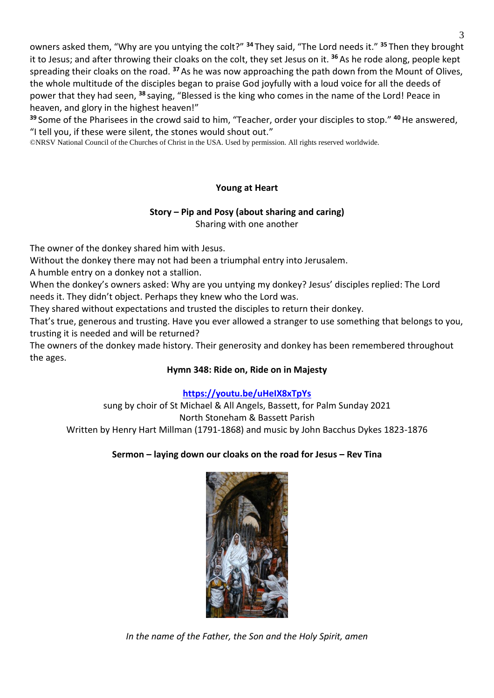owners asked them, "Why are you untying the colt?" **<sup>34</sup>** They said, "The Lord needs it." **<sup>35</sup>** Then they brought it to Jesus; and after throwing their cloaks on the colt, they set Jesus on it. **<sup>36</sup>** As he rode along, people kept spreading their cloaks on the road. **<sup>37</sup>**As he was now approaching the path down from the Mount of Olives, the whole multitude of the disciples began to praise God joyfully with a loud voice for all the deeds of power that they had seen, **<sup>38</sup>** saying, "Blessed is the king who comes in the name of the Lord! Peace in heaven, and glory in the highest heaven!"

**<sup>39</sup>** Some of the Pharisees in the crowd said to him, "Teacher, order your disciples to stop." **<sup>40</sup>**He answered, "I tell you, if these were silent, the stones would shout out."

©NRSV National Council of the Churches of Christ in the USA. Used by permission. All rights reserved worldwide.

## **Young at Heart**

# **Story – Pip and Posy (about sharing and caring)**

Sharing with one another

The owner of the donkey shared him with Jesus.

Without the donkey there may not had been a triumphal entry into Jerusalem.

A humble entry on a donkey not a stallion.

When the donkey's owners asked: Why are you untying my donkey? Jesus' disciples replied: The Lord needs it. They didn't object. Perhaps they knew who the Lord was.

They shared without expectations and trusted the disciples to return their donkey.

That's true, generous and trusting. Have you ever allowed a stranger to use something that belongs to you, trusting it is needed and will be returned?

The owners of the donkey made history. Their generosity and donkey has been remembered throughout the ages.

#### **Hymn 348: Ride on, Ride on in Majesty**

# **<https://youtu.be/uHeIX8xTpYs>**

sung by choir of St Michael & All Angels, Bassett, for Palm Sunday 2021 North Stoneham & Bassett Parish Written by Henry Hart Millman (1791-1868) and music by John Bacchus Dykes 1823-1876

#### **Sermon – laying down our cloaks on the road for Jesus – Rev Tina**



*In the name of the Father, the Son and the Holy Spirit, amen*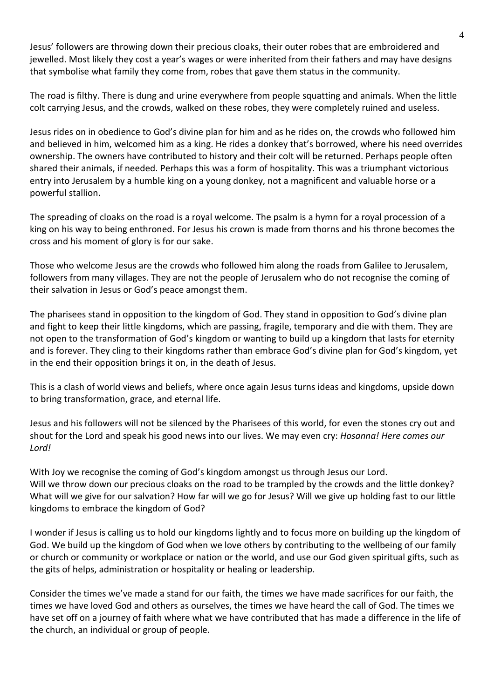Jesus' followers are throwing down their precious cloaks, their outer robes that are embroidered and jewelled. Most likely they cost a year's wages or were inherited from their fathers and may have designs that symbolise what family they come from, robes that gave them status in the community.

The road is filthy. There is dung and urine everywhere from people squatting and animals. When the little colt carrying Jesus, and the crowds, walked on these robes, they were completely ruined and useless.

Jesus rides on in obedience to God's divine plan for him and as he rides on, the crowds who followed him and believed in him, welcomed him as a king. He rides a donkey that's borrowed, where his need overrides ownership. The owners have contributed to history and their colt will be returned. Perhaps people often shared their animals, if needed. Perhaps this was a form of hospitality. This was a triumphant victorious entry into Jerusalem by a humble king on a young donkey, not a magnificent and valuable horse or a powerful stallion.

The spreading of cloaks on the road is a royal welcome. The psalm is a hymn for a royal procession of a king on his way to being enthroned. For Jesus his crown is made from thorns and his throne becomes the cross and his moment of glory is for our sake.

Those who welcome Jesus are the crowds who followed him along the roads from Galilee to Jerusalem, followers from many villages. They are not the people of Jerusalem who do not recognise the coming of their salvation in Jesus or God's peace amongst them.

The pharisees stand in opposition to the kingdom of God. They stand in opposition to God's divine plan and fight to keep their little kingdoms, which are passing, fragile, temporary and die with them. They are not open to the transformation of God's kingdom or wanting to build up a kingdom that lasts for eternity and is forever. They cling to their kingdoms rather than embrace God's divine plan for God's kingdom, yet in the end their opposition brings it on, in the death of Jesus.

This is a clash of world views and beliefs, where once again Jesus turns ideas and kingdoms, upside down to bring transformation, grace, and eternal life.

Jesus and his followers will not be silenced by the Pharisees of this world, for even the stones cry out and shout for the Lord and speak his good news into our lives. We may even cry: *Hosanna! Here comes our Lord!*

With Joy we recognise the coming of God's kingdom amongst us through Jesus our Lord. Will we throw down our precious cloaks on the road to be trampled by the crowds and the little donkey? What will we give for our salvation? How far will we go for Jesus? Will we give up holding fast to our little kingdoms to embrace the kingdom of God?

I wonder if Jesus is calling us to hold our kingdoms lightly and to focus more on building up the kingdom of God. We build up the kingdom of God when we love others by contributing to the wellbeing of our family or church or community or workplace or nation or the world, and use our God given spiritual gifts, such as the gits of helps, administration or hospitality or healing or leadership.

Consider the times we've made a stand for our faith, the times we have made sacrifices for our faith, the times we have loved God and others as ourselves, the times we have heard the call of God. The times we have set off on a journey of faith where what we have contributed that has made a difference in the life of the church, an individual or group of people.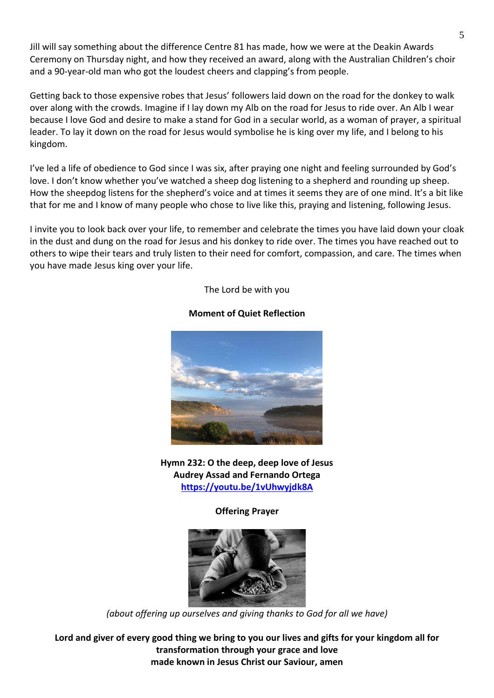Jill will say something about the difference Centre 81 has made, how we were at the Deakin Awards Ceremony on Thursday night, and how they received an award, along with the Australian Children's choir and a 90-year-old man who got the loudest cheers and clapping's from people.

Getting back to those expensive robes that Jesus' followers laid down on the road for the donkey to walk over along with the crowds. Imagine if I lay down my Alb on the road for Jesus to ride over. An Alb I wear because I love God and desire to make a stand for God in a secular world, as a woman of prayer, a spiritual leader. To lay it down on the road for Jesus would symbolise he is king over my life, and I belong to his kingdom.

I've led a life of obedience to God since I was six, after praying one night and feeling surrounded by God's love. I don't know whether you've watched a sheep dog listening to a shepherd and rounding up sheep. How the sheepdog listens for the shepherd's voice and at times it seems they are of one mind. It's a bit like that for me and I know of many people who chose to live like this, praying and listening, following Jesus.

I invite you to look back over your life, to remember and celebrate the times you have laid down your cloak in the dust and dung on the road for Jesus and his donkey to ride over. The times you have reached out to others to wipe their tears and truly listen to their need for comfort, compassion, and care. The times when you have made Jesus king over your life.

The Lord be with you

#### **Moment of Quiet Reflection**



**Hymn 232: O the deep, deep love of Jesus Audrey Assad and Fernando Ortega <https://youtu.be/1vUhwyjdk8A>**

**Offering Prayer**



*(about offering up ourselves and giving thanks to God for all we have)*

**Lord and giver of every good thing we bring to you our lives and gifts for your kingdom all for transformation through your grace and love made known in Jesus Christ our Saviour, amen**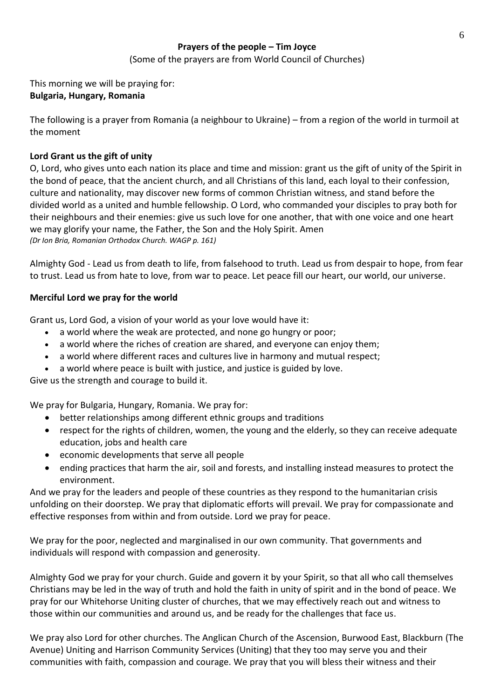## **Prayers of the people – Tim Joyce** (Some of the prayers are from World Council of Churches)

This morning we will be praying for: **Bulgaria, Hungary, Romania**

The following is a prayer from Romania (a neighbour to Ukraine) – from a region of the world in turmoil at the moment

## **Lord Grant us the gift of unity**

O, Lord, who gives unto each nation its place and time and mission: grant us the gift of unity of the Spirit in the bond of peace, that the ancient church, and all Christians of this land, each loyal to their confession, culture and nationality, may discover new forms of common Christian witness, and stand before the divided world as a united and humble fellowship. O Lord, who commanded your disciples to pray both for their neighbours and their enemies: give us such love for one another, that with one voice and one heart we may glorify your name, the Father, the Son and the Holy Spirit. Amen *(Dr Ion Bria, Romanian Orthodox Church. WAGP p. 161)*

Almighty God - Lead us from death to life, from falsehood to truth. Lead us from despair to hope, from fear to trust. Lead us from hate to love, from war to peace. Let peace fill our heart, our world, our universe.

#### **Merciful Lord we pray for the world**

Grant us, Lord God, a vision of your world as your love would have it:

- a world where the weak are protected, and none go hungry or poor;
- a world where the riches of creation are shared, and everyone can enjoy them;
- a world where different races and cultures live in harmony and mutual respect;
- a world where peace is built with justice, and justice is guided by love.

Give us the strength and courage to build it.

We pray for Bulgaria, Hungary, Romania. We pray for:

- better relationships among different ethnic groups and traditions
- respect for the rights of children, women, the young and the elderly, so they can receive adequate education, jobs and health care
- economic developments that serve all people
- ending practices that harm the air, soil and forests, and installing instead measures to protect the environment.

And we pray for the leaders and people of these countries as they respond to the humanitarian crisis unfolding on their doorstep. We pray that diplomatic efforts will prevail. We pray for compassionate and effective responses from within and from outside. Lord we pray for peace.

We pray for the poor, neglected and marginalised in our own community. That governments and individuals will respond with compassion and generosity.

Almighty God we pray for your church. Guide and govern it by your Spirit, so that all who call themselves Christians may be led in the way of truth and hold the faith in unity of spirit and in the bond of peace. We pray for our Whitehorse Uniting cluster of churches, that we may effectively reach out and witness to those within our communities and around us, and be ready for the challenges that face us.

We pray also Lord for other churches. The Anglican Church of the Ascension, Burwood East, Blackburn (The Avenue) Uniting and Harrison Community Services (Uniting) that they too may serve you and their communities with faith, compassion and courage. We pray that you will bless their witness and their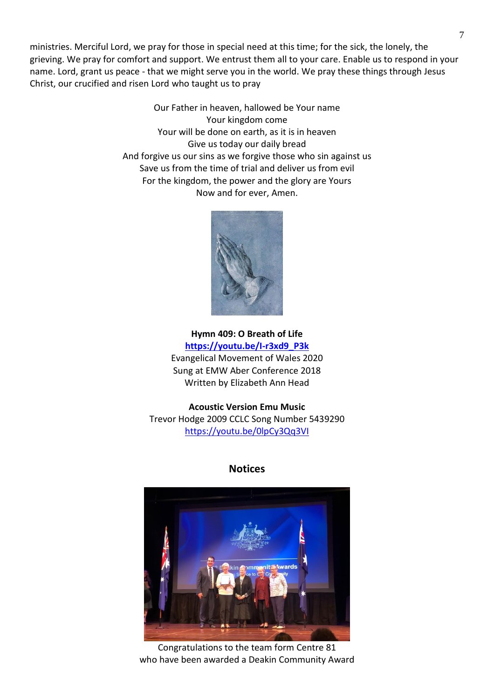ministries. Merciful Lord, we pray for those in special need at this time; for the sick, the lonely, the grieving. We pray for comfort and support. We entrust them all to your care. Enable us to respond in your name. Lord, grant us peace - that we might serve you in the world. We pray these things through Jesus Christ, our crucified and risen Lord who taught us to pray

> Our Father in heaven, hallowed be Your name Your kingdom come Your will be done on earth, as it is in heaven Give us today our daily bread And forgive us our sins as we forgive those who sin against us Save us from the time of trial and deliver us from evil For the kingdom, the power and the glory are Yours Now and for ever, Amen.



**Hymn 409: O Breath of Life [https://youtu.be/I-r3xd9\\_P3k](https://youtu.be/I-r3xd9_P3k)** Evangelical Movement of Wales 2020 Sung at EMW Aber Conference 2018 Written by Elizabeth Ann Head

**Acoustic Version Emu Music**  Trevor Hodge 2009 CCLC Song Number 5439290 <https://youtu.be/0lpCy3Qq3VI>

#### **Notices**



Congratulations to the team form Centre 81 who have been awarded a Deakin Community Award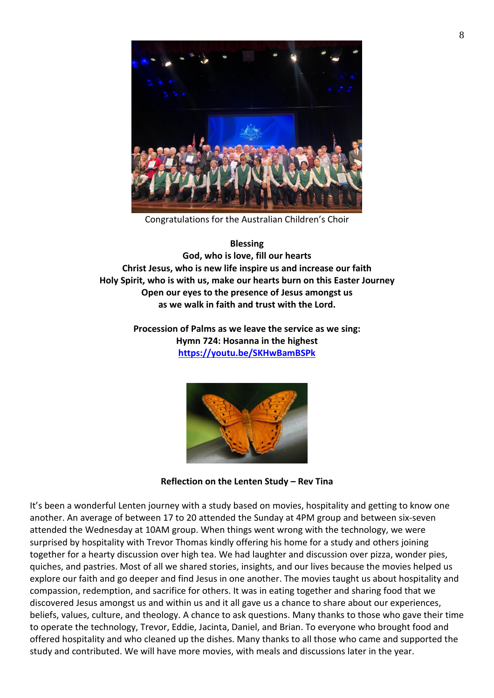

Congratulations for the Australian Children's Choir

**Blessing God, who is love, fill our hearts Christ Jesus, who is new life inspire us and increase our faith Holy Spirit, who is with us, make our hearts burn on this Easter Journey Open our eyes to the presence of Jesus amongst us as we walk in faith and trust with the Lord.**

> **Procession of Palms as we leave the service as we sing: Hymn 724: Hosanna in the highest <https://youtu.be/SKHwBamBSPk>**



**Reflection on the Lenten Study – Rev Tina**

It's been a wonderful Lenten journey with a study based on movies, hospitality and getting to know one another. An average of between 17 to 20 attended the Sunday at 4PM group and between six-seven attended the Wednesday at 10AM group. When things went wrong with the technology, we were surprised by hospitality with Trevor Thomas kindly offering his home for a study and others joining together for a hearty discussion over high tea. We had laughter and discussion over pizza, wonder pies, quiches, and pastries. Most of all we shared stories, insights, and our lives because the movies helped us explore our faith and go deeper and find Jesus in one another. The movies taught us about hospitality and compassion, redemption, and sacrifice for others. It was in eating together and sharing food that we discovered Jesus amongst us and within us and it all gave us a chance to share about our experiences, beliefs, values, culture, and theology. A chance to ask questions. Many thanks to those who gave their time to operate the technology, Trevor, Eddie, Jacinta, Daniel, and Brian. To everyone who brought food and offered hospitality and who cleaned up the dishes. Many thanks to all those who came and supported the study and contributed. We will have more movies, with meals and discussions later in the year.